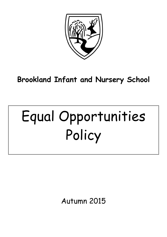

# **Brookland Infant and Nursery School**

# Equal Opportunities Policy

Autumn 2015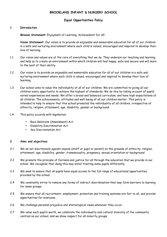# **BROOKLAND INFANT & NURSERY SCHOOL**

# **Equal Opportunities Policy**

#### **1 Introduction**

**Mission Statement**: Enjoyment of Learning, Achievement for All

**Vision Statement**: Our vision is to provide an enjoyable and memorable education for all of our children in a safe and nurturing environment where each child is valued, encouraged and inspired to develop their love of learning.

- 1.1 Our vision and values are at the core of everything that we do. They underpin our teaching and learning and help us to create an environment within which children will feel happy, safe and secure and will learn to the best of their ability.
- 1.2 Our vision is to provide an enjoyable and memorable education for all of our children in a safe and nurturing environment where each child is valued, encouraged and inspired to develop their love of learning.
- 1.3 Our school aims to value the individuality of all of our children. We are committed to giving all our children every opportunity to achieve the highest of standards. We do this by taking account of pupils' varied experiences and needs. We offer a broad and balanced curriculum, and have high expectations of all children. The achievements, attitudes and well-being of all our children matter. This policy is intended to help to ensure that this school promotes the individuality of all children, irrespective of ethnicity, religion, attainment, age, disability, gender or background.
- 1.4 This policy accords with legislation:
	- Race Relations (Amendment) Act.
	- Disability Discrimination Act.
	- Sex Discrimination Act.

#### **2 Aims and objectives**

- 2.1 We do not discriminate against anyone (staff or pupil or parent) on the grounds of ethnicity, religion, attainment, age, disability, gender, transsexuality, pregnancy, sexual orientation or background
- 2.2 We promote the principle of fairness and justice for all through the education that we provide in our school. We recognise that doing this may entail treating some pupils differently.
- 2.3 We seek to ensure that all pupils have equal access to the full range of educational opportunities provided by the school.
- 2.4 We constantly strive to remove any forms of indirect discrimination that may form barriers to learning for some groups.
- 2.5 We ensure that all recruitment, employment, promotion and training systems are fair to all, and provide opportunities for everyone.
- 2.6 We challenge personal prejudice and stereotypical views whenever they occur.
- 2.7 We value each pupil's worth, we celebrate the individuality and cultural diversity of the community centred on our school, and we show respect for all minority groups.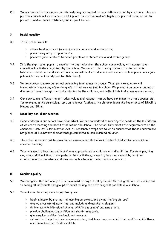2.8 We are aware that prejudice and stereotyping are caused by poor self-image and by ignorance. Through positive educational experiences, and support for each individual's legitimate point of view, we aim to promote positive social attitudes, and respect for all.

#### **3 Racial equality**

- 3.1 In our school we will:
	- strive to eliminate all forms of racism and racial discrimination;
	- promote equality of opportunity;
	- promote good relations between people of different racial and ethnic groups.
- 3.2 It is the right of all pupils to receive the best education the school can provide, with access to all educational activities organised by the school. We do not tolerate any forms of racism or racist behaviour. Should a racist incident occur, we will deal with it in accordance with school procedures (see policies for Racial Equality and for Behaviour).
- 3.3 We endeavour to make our school welcoming to all minority groups. Thus, for example, we will immediately remove any offensive graffiti that we may find in school. We promote an understanding of diverse cultures through the topics studied by the children, and reflect this in displays around school.
- 3.4 Our curriculum reflects the attitudes, values and respect that we have for minority ethnic groups. So, for example, in the curriculum topic on religious festivals, the children learn the importance of Diwali to Hindus and Sikhs.

# **4 Disability non-discrimination**

- 4.1 Some children in our school have disabilities. We are committed to meeting the needs of these children, as we are to meeting the needs of all within the school. The school fully meets the requirements of the amended Disability Discrimination Act. All reasonable steps are taken to ensure that these children are not placed at a substantial disadvantage compared to non-disabled children.
- 4.2 The school is committed to providing an environment that allows disabled children full access to all areas of learning.
- 4.3 Teachers modify teaching and learning as appropriate for children with disabilities. For example, they may give additional time to complete certain activities, or modify teaching materials, or offer alternative activities where children are unable to manipulate tools or equipment.

# **5 Gender equality**

- 5.1 We recognise that nationally the achievement of boys is falling behind that of girls. We are committed to seeing all individuals and groups of pupils making the best progress possible in our school.
- 5.2 To make our teaching more boy-friendly, we:
	- begin a lesson by stating the learning outcomes, and giving the 'big picture';
	- employ a variety of activities, and include a kinaesthetic element;
	- deliver work in bite-sized chunks, with 'brain breaks' and new starts;
	- provide challenge, competition and short-term goals;
	- give regular positive feedback and rewards;
	- set writing tasks that are cross-curricular, that have been modelled first, and for which there are frames and scaffolds available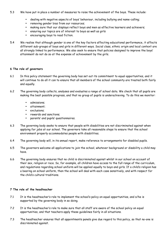# 5.3 We have put in place a number of measures to raise the achievement of the boys. These include:

- dealing with negative aspects of boys' behaviour, including bullying and name-calling;
- removing gender bias from our resources;
- making sure that our displays reflect boys and men as effective learners and achievers;
- ensuring our topics are of interest to boys as well as girls
- encouraging boys to read fiction.
- 5.4 We realise that although gender is one of the key factors affecting educational performance, it affects different sub-groups of boys and girls in different ways. Social class, ethnic origin and local context are all strongly linked to performance. We also seek to ensure that policies designed to improve the boys' attainment do not do so at the expense of achievement by the girls.

#### **6 The role of governors**

- 6.1 In this policy statement the governing body has set out its commitment to equal opportunities, and it will continue to do all it can to ensure that all members of the school community are treated both fairly and equally.
- 6.2 The governing body collects, analyses and evaluates a range of school data. We check that all pupils are making the best possible progress, and that no group of pupils is underachieving. To do this we monitor:
	- admissions;
	- attainment;
	- exclusions;
	- rewards and sanctions;
	- parents' and pupils' questionnaires.
- 6.3 The governing body seeks to ensure that people with disabilities are not discriminated against when applying for jobs at our school. The governors take all reasonable steps to ensure that the school environment properly accommodates people with disabilities.
- 6.4 The governing body will, in its annual report, make reference to arrangements for disabled pupils.
- 6.5 The governors welcome all applications to join the school, whatever background or disability a child may have.
- 6.6 The governing body ensures that no child is discriminated against whilst in our school on account of their sex, religion or race. So, for example, all children have access to the full range of the curriculum, and regulations regarding school uniform will be applied equally to boys and girls. If a child's religion has a bearing on school uniform, then the school will deal with each case sensitively, and with respect for the child's cultural traditions.

# **7 The role of the headteacher**

- 7.1 It is the headteacher's role to implement the school's policy on equal opportunities, and s/he is supported by the governing body in so doing.
- 7.2 It is the headteacher's role to make sure that all staff are aware of the school policy on equal opportunities, and that teachers apply these guidelines fairly in all situations.
- 7.3 The headteacher ensures that all appointments panels give due regard to this policy, so that no-one is discriminated against.